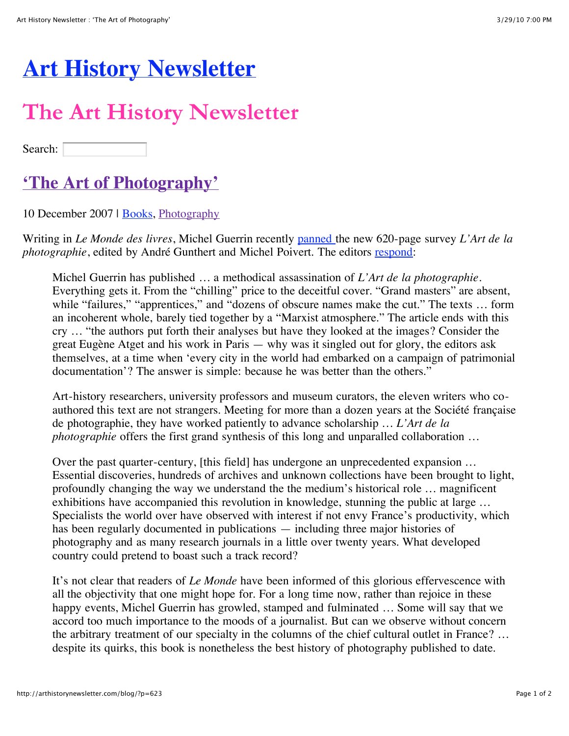## **[Art History Newsletter](http://arthistorynewsletter.com/blog/)**

## **The Art History Newsletter**

Search:

## **['The Art of Photography'](http://arthistorynewsletter.com/blog/?p=623)**

10 December 2007 | [Books](http://arthistorynewsletter.com/blog/?cat=8), [Photography](http://arthistorynewsletter.com/blog/?cat=7)

Writing in *Le Monde des livres*, Michel Guerrin recently [panned](http://www.lemonde.fr/web/article/0,1-0@2-3260,36-975903,0.html) the new 620-page survey *L'Art de la photographie*, edited by André Gunthert and Michel Poivert. The editors [respond](http://www.arhv.lhivic.org/index.php/2007/12/06/577-les-humeurs-d-un-journaliste):

Michel Guerrin has published … a methodical assassination of *L'Art de la photographie*. Everything gets it. From the "chilling" price to the deceitful cover. "Grand masters" are absent, while "failures," "apprentices," and "dozens of obscure names make the cut." The texts ... form an incoherent whole, barely tied together by a "Marxist atmosphere." The article ends with this cry … "the authors put forth their analyses but have they looked at the images? Consider the great Eugène Atget and his work in Paris — why was it singled out for glory, the editors ask themselves, at a time when 'every city in the world had embarked on a campaign of patrimonial documentation'? The answer is simple: because he was better than the others."

Art-history researchers, university professors and museum curators, the eleven writers who coauthored this text are not strangers. Meeting for more than a dozen years at the Société française de photographie, they have worked patiently to advance scholarship … *L'Art de la photographie* offers the first grand synthesis of this long and unparalled collaboration ...

Over the past quarter-century, [this field] has undergone an unprecedented expansion … Essential discoveries, hundreds of archives and unknown collections have been brought to light, profoundly changing the way we understand the the medium's historical role … magnificent exhibitions have accompanied this revolution in knowledge, stunning the public at large … Specialists the world over have observed with interest if not envy France's productivity, which has been regularly documented in publications — including three major histories of photography and as many research journals in a little over twenty years. What developed country could pretend to boast such a track record?

It's not clear that readers of *Le Monde* have been informed of this glorious effervescence with all the objectivity that one might hope for. For a long time now, rather than rejoice in these happy events, Michel Guerrin has growled, stamped and fulminated ... Some will say that we accord too much importance to the moods of a journalist. But can we observe without concern the arbitrary treatment of our specialty in the columns of the chief cultural outlet in France? … despite its quirks, this book is nonetheless the best history of photography published to date.